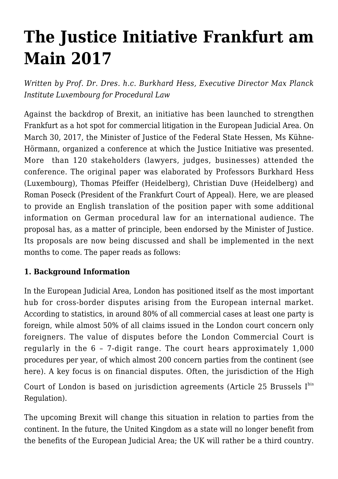# **[The Justice Initiative Frankfurt am](https://conflictoflaws.net/2017/the-justice-initiative-frankfurt-am-main-2017-law-made-in-frankfurt/) [Main 2017](https://conflictoflaws.net/2017/the-justice-initiative-frankfurt-am-main-2017-law-made-in-frankfurt/)**

*Written by Prof. Dr. Dres. h.c. Burkhard Hess, Executive Director Max Planck Institute Luxembourg for Procedural Law*

Against the backdrop of Brexit, an initiative has been launched to strengthen Frankfurt as a hot spot for commercial litigation in the European Judicial Area. On March 30, 2017, the Minister of Justice of the Federal State Hessen, Ms Kühne-Hörmann, organized a conference at which the Justice Initiative was presented. More than 120 stakeholders (lawyers, judges, businesses) attended the conference. The original paper was elaborated by Professors Burkhard Hess (Luxembourg), Thomas Pfeiffer (Heidelberg), Christian Duve (Heidelberg) and Roman Poseck (President of the Frankfurt Court of Appeal). Here, we are pleased to provide an English translation of the position paper with some additional information on German procedural law for an international audience. The proposal has, as a matter of principle, been endorsed by the Minister of Justice. Its proposals are now being discussed and shall be implemented in the next months to come. The paper reads as follows:

#### **1. Background Information**

In the European Judicial Area, London has positioned itself as the most important hub for cross-border disputes arising from the European internal market. According to statistics, in around 80% of all commercial cases at least one party is foreign, while almost 50% of all claims issued in the London court concern only foreigners. The value of disputes before the London Commercial Court is regularly in the 6 – 7-digit range. The court hears approximately 1,000 procedures per year, of which almost 200 concern parties from the continent (see [here\)](https://portland-communications.com/pdf/Portland). A key focus is on financial disputes. Often, the jurisdiction of the High Court of London is based on jurisdiction agreements (Article 25 Brussels  $I<sup>bis</sup>$ Regulation).

The upcoming Brexit will change this situation in relation to parties from the continent. In the future, the United Kingdom as a state will no longer benefit from the benefits of the European Judicial Area; the UK will rather be a third country.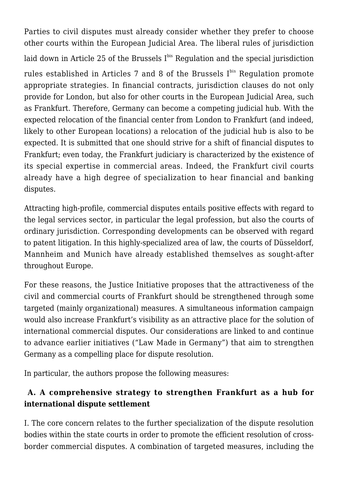Parties to civil disputes must already consider whether they prefer to choose other courts within the European Judicial Area. The liberal rules of jurisdiction laid down in Article 25 of the Brussels  $I<sup>bis</sup>$  Regulation and the special jurisdiction rules established in Articles 7 and 8 of the Brussels Ibis Regulation promote appropriate strategies. In financial contracts, jurisdiction clauses do not only provide for London, but also for other courts in the European Judicial Area, such as Frankfurt. Therefore, Germany can become a competing judicial hub. With the expected relocation of the financial center from London to Frankfurt (and indeed, likely to other European locations) a relocation of the judicial hub is also to be expected. It is submitted that one should strive for a shift of financial disputes to Frankfurt; even today, the Frankfurt judiciary is characterized by the existence of its special expertise in commercial areas. Indeed, the Frankfurt civil courts already have a high degree of specialization to hear financial and banking disputes.

Attracting high-profile, commercial disputes entails positive effects with regard to the legal services sector, in particular the legal profession, but also the courts of ordinary jurisdiction. Corresponding developments can be observed with regard to patent litigation. In this highly-specialized area of law, the courts of Düsseldorf, Mannheim and Munich have already established themselves as sought-after throughout Europe.

For these reasons, the Justice Initiative proposes that the attractiveness of the civil and commercial courts of Frankfurt should be strengthened through some targeted (mainly organizational) measures. A simultaneous information campaign would also increase Frankfurt's visibility as an attractive place for the solution of international commercial disputes. Our considerations are linked to and continue to advance earlier initiatives ("Law Made in Germany") that aim to strengthen Germany as a compelling place for dispute resolution.

In particular, the authors propose the following measures:

## **A. A comprehensive strategy to strengthen Frankfurt as a hub for international dispute settlement**

I. The core concern relates to the further specialization of the dispute resolution bodies within the state courts in order to promote the efficient resolution of crossborder commercial disputes. A combination of targeted measures, including the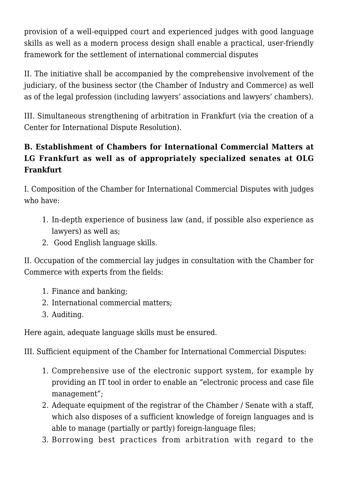provision of a well-equipped court and experienced judges with good language skills as well as a modern process design shall enable a practical, user-friendly framework for the settlement of international commercial disputes

II. The initiative shall be accompanied by the comprehensive involvement of the judiciary, of the business sector (the Chamber of Industry and Commerce) as well as of the legal profession (including lawyers' associations and lawyers' chambers).

III. Simultaneous strengthening of arbitration in Frankfurt (via the creation of a Center for International Dispute Resolution).

## **B. Establishment of Chambers for International Commercial Matters at LG Frankfurt as well as of appropriately specialized senates at OLG Frankfurt**

I. Composition of the Chamber for International Commercial Disputes with judges who have:

- 1. In-depth experience of business law (and, if possible also experience as lawyers) as well as;
- 2. Good English language skills.

II. Occupation of the commercial lay judges in consultation with the Chamber for Commerce with experts from the fields:

- 1. Finance and banking;
- 2. International commercial matters;
- 3. Auditing.

Here again, adequate language skills must be ensured.

III. Sufficient equipment of the Chamber for International Commercial Disputes:

- 1. Comprehensive use of the electronic support system, for example by providing an IT tool in order to enable an "electronic process and case file management";
- 2. Adequate equipment of the registrar of the Chamber / Senate with a staff, which also disposes of a sufficient knowledge of foreign languages and is able to manage (partially or partly) foreign-language files;
- 3. Borrowing best practices from arbitration with regard to the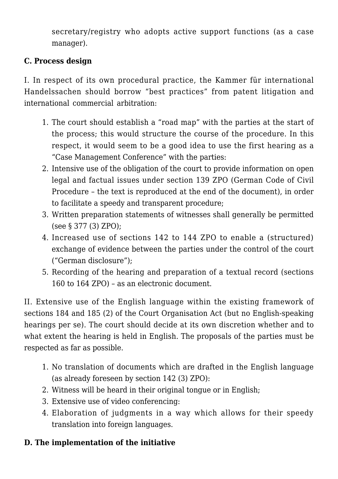secretary/registry who adopts active support functions (as a case manager).

## **C. Process design**

I. In respect of its own procedural practice, the Kammer für international Handelssachen should borrow "best practices" from patent litigation and international commercial arbitration:

- 1. The court should establish a "road map" with the parties at the start of the process; this would structure the course of the procedure. In this respect, it would seem to be a good idea to use the first hearing as a "Case Management Conference" with the parties:
- 2. Intensive use of the obligation of the court to provide information on open legal and factual issues under section [139 ZPO](#page-4-0) (German Code of Civil Procedure – the text is reproduced at the end of the document), in order to facilitate a speedy and transparent procedure;
- 3. Written preparation statements of witnesses shall generally be permitted (see [§ 377 \(3\) ZPO](#page-4-0));
- 4. Increased use of sections [142 to 144 ZPO](#page-4-0) to enable a (structured) exchange of evidence between the parties under the control of the court ("German disclosure");
- 5. Recording of the hearing and preparation of a textual record (sections [160 to 164 ZPO\)](#page-4-0) – as an electronic document.

II. Extensive use of the English language within the existing framework of sections 184 and 185 (2) of the Court Organisation Act (but no English-speaking hearings per se). The court should decide at its own discretion whether and to what extent the hearing is held in English. The proposals of the parties must be respected as far as possible.

- 1. No translation of documents which are drafted in the English language (as already foreseen by section [142 \(3\) ZPO](#page-4-0)):
- 2. Witness will be heard in their original tongue or in English;
- 3. Extensive use of video conferencing:
- 4. Elaboration of judgments in a way which allows for their speedy translation into foreign languages.

### **D. The implementation of the initiative**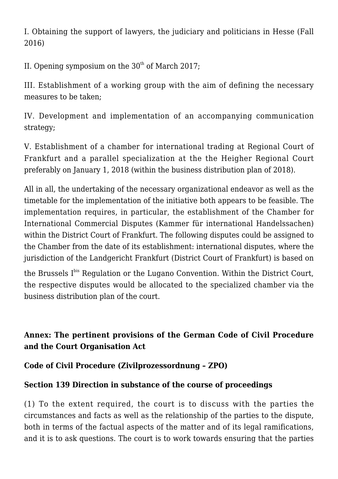I. Obtaining the support of lawyers, the judiciary and politicians in Hesse (Fall 2016)

II. Opening symposium on the  $30<sup>th</sup>$  of March 2017:

III. Establishment of a working group with the aim of defining the necessary measures to be taken;

IV. Development and implementation of an accompanying communication strategy;

V. Establishment of a chamber for international trading at Regional Court of Frankfurt and a parallel specialization at the the Heigher Regional Court preferably on January 1, 2018 (within the business distribution plan of 2018).

All in all, the undertaking of the necessary organizational endeavor as well as the timetable for the implementation of the initiative both appears to be feasible. The implementation requires, in particular, the establishment of the Chamber for International Commercial Disputes (Kammer für international Handelssachen) within the District Court of Frankfurt. The following disputes could be assigned to the Chamber from the date of its establishment: international disputes, where the jurisdiction of the Landgericht Frankfurt (District Court of Frankfurt) is based on

the Brussels Ibis Regulation or the Lugano Convention. Within the District Court, the respective disputes would be allocated to the specialized chamber via the business distribution plan of the court.

## <span id="page-4-0"></span>**Annex: [The pertinent provisions of the German Code of Civil Procedure](https://www.gesetze-im-internet.de/englisch_zpo/englisch_zpo.html) [and the Court Organisation Act](https://www.gesetze-im-internet.de/englisch_zpo/englisch_zpo.html)**

### **Code of Civil Procedure (Zivilprozessordnung – ZPO)**

## **Section 139 Direction in substance of the course of proceedings**

(1) To the extent required, the court is to discuss with the parties the circumstances and facts as well as the relationship of the parties to the dispute, both in terms of the factual aspects of the matter and of its legal ramifications, and it is to ask questions. The court is to work towards ensuring that the parties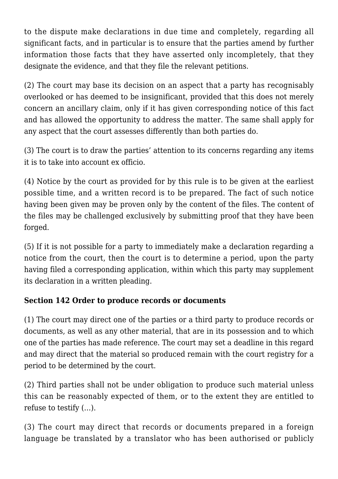to the dispute make declarations in due time and completely, regarding all significant facts, and in particular is to ensure that the parties amend by further information those facts that they have asserted only incompletely, that they designate the evidence, and that they file the relevant petitions.

(2) The court may base its decision on an aspect that a party has recognisably overlooked or has deemed to be insignificant, provided that this does not merely concern an ancillary claim, only if it has given corresponding notice of this fact and has allowed the opportunity to address the matter. The same shall apply for any aspect that the court assesses differently than both parties do.

(3) The court is to draw the parties' attention to its concerns regarding any items it is to take into account ex officio.

(4) Notice by the court as provided for by this rule is to be given at the earliest possible time, and a written record is to be prepared. The fact of such notice having been given may be proven only by the content of the files. The content of the files may be challenged exclusively by submitting proof that they have been forged.

(5) If it is not possible for a party to immediately make a declaration regarding a notice from the court, then the court is to determine a period, upon the party having filed a corresponding application, within which this party may supplement its declaration in a written pleading.

### **Section 142 Order to produce records or documents**

(1) The court may direct one of the parties or a third party to produce records or documents, as well as any other material, that are in its possession and to which one of the parties has made reference. The court may set a deadline in this regard and may direct that the material so produced remain with the court registry for a period to be determined by the court.

(2) Third parties shall not be under obligation to produce such material unless this can be reasonably expected of them, or to the extent they are entitled to refuse to testify (…).

(3) The court may direct that records or documents prepared in a foreign language be translated by a translator who has been authorised or publicly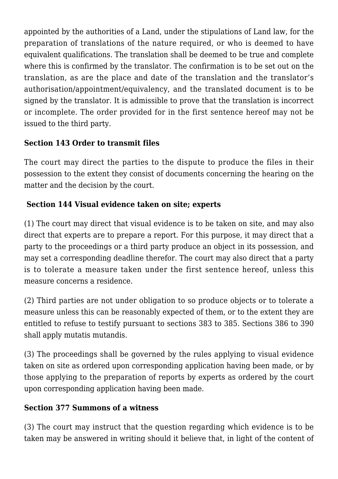appointed by the authorities of a Land, under the stipulations of Land law, for the preparation of translations of the nature required, or who is deemed to have equivalent qualifications. The translation shall be deemed to be true and complete where this is confirmed by the translator. The confirmation is to be set out on the translation, as are the place and date of the translation and the translator's authorisation/appointment/equivalency, and the translated document is to be signed by the translator. It is admissible to prove that the translation is incorrect or incomplete. The order provided for in the first sentence hereof may not be issued to the third party.

## **Section 143 Order to transmit files**

The court may direct the parties to the dispute to produce the files in their possession to the extent they consist of documents concerning the hearing on the matter and the decision by the court.

## **Section 144 Visual evidence taken on site; experts**

(1) The court may direct that visual evidence is to be taken on site, and may also direct that experts are to prepare a report. For this purpose, it may direct that a party to the proceedings or a third party produce an object in its possession, and may set a corresponding deadline therefor. The court may also direct that a party is to tolerate a measure taken under the first sentence hereof, unless this measure concerns a residence.

(2) Third parties are not under obligation to so produce objects or to tolerate a measure unless this can be reasonably expected of them, or to the extent they are entitled to refuse to testify pursuant to sections 383 to 385. Sections 386 to 390 shall apply mutatis mutandis.

(3) The proceedings shall be governed by the rules applying to visual evidence taken on site as ordered upon corresponding application having been made, or by those applying to the preparation of reports by experts as ordered by the court upon corresponding application having been made.

### **Section 377 Summons of a witness**

(3) The court may instruct that the question regarding which evidence is to be taken may be answered in writing should it believe that, in light of the content of